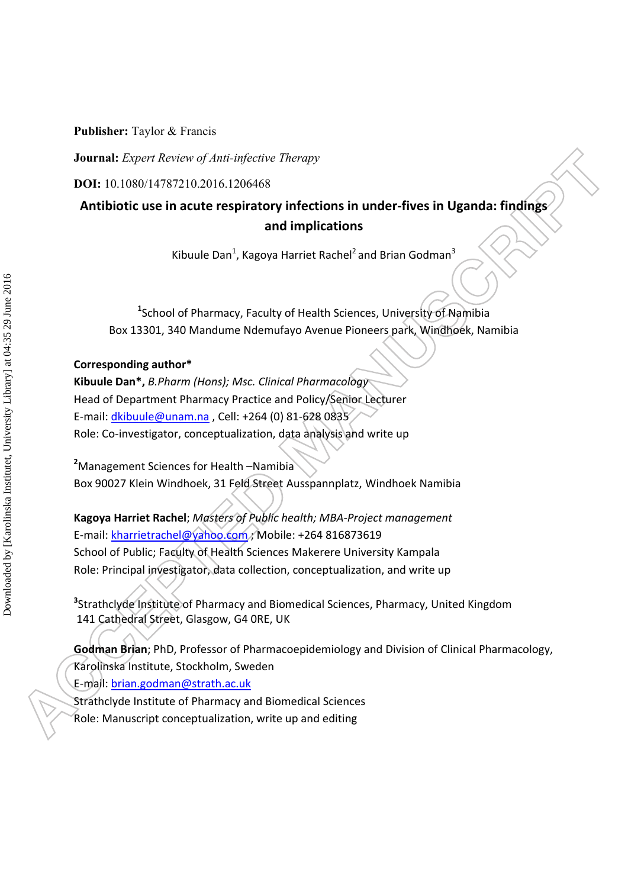**Journal:** *Expert Review of Anti-infective Therapy* 

**DOI:** 10.1080/14787210.2016.1206468

# **Antibiotic use in acute respiratory infections in under-fives in Uganda: findings and implications**

Kibuule Dan<sup>1</sup>, Kagoya Harriet Rachel<sup>2</sup> and Brian Godman<sup>3</sup>

**1** School of Pharmacy, Faculty of Health Sciences, University of Namibia Box 13301, 340 Mandume Ndemufayo Avenue Pioneers park, Windhoek, Namibia

## **Corresponding author\***

**Kibuule Dan\*,** *B.Pharm (Hons); Msc. Clinical Pharmacology* Head of Department Pharmacy Practice and Policy/Senior Lecturer E-mail: *dkibuule@unam.na*, Cell: +264 (0) 81-628 0835 Role: Co-investigator, conceptualization, data analysis and write up

**2** Management Sciences for Health –Namibia Box 90027 Klein Windhoek, 31 Feld Street Ausspannplatz, Windhoek Namibia

**Kagoya Harriet Rachel**; *Masters of Public health; MBA-Project management*  E-mail: kharrietrachel@yahoo.com ; Mobile: +264 816873619 School of Public; Faculty of Health Sciences Makerere University Kampala Role: Principal investigator, data collection, conceptualization, and write up

**3** Strathclyde Institute of Pharmacy and Biomedical Sciences, Pharmacy, United Kingdom 141 Cathedral Street, Glasgow, G4 0RE, UK

**Godman Brian**; PhD, Professor of Pharmacoepidemiology and Division of Clinical Pharmacology, Karolinska Institute, Stockholm, Sweden

E-mail: brian.godman@strath.ac.uk

Strathclyde Institute of Pharmacy and Biomedical Sciences Role: Manuscript conceptualization, write up and editing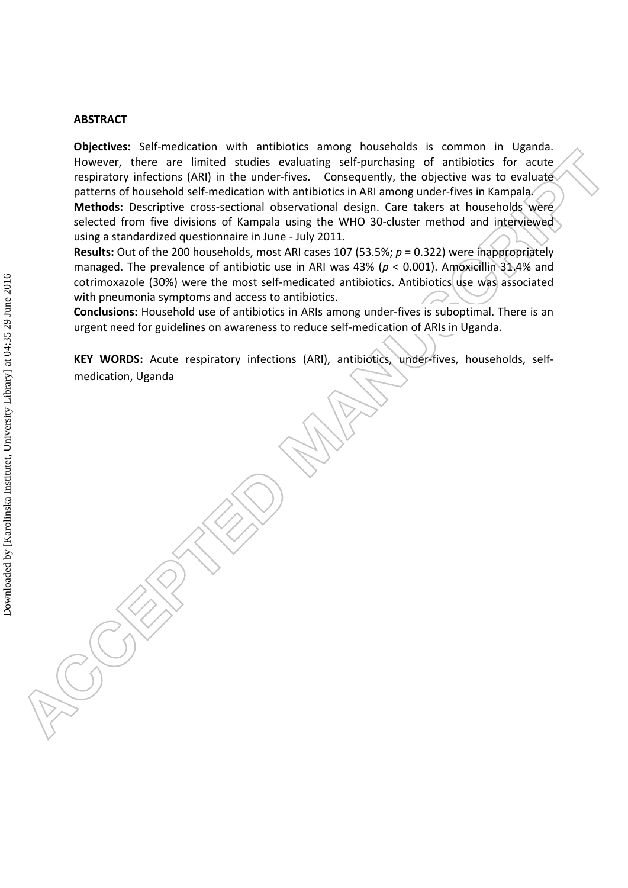### **ABSTRACT**

**Objectives:** Self-medication with antibiotics among households is common in Uganda. However, there are limited studies evaluating self-purchasing of antibiotics for acute respiratory infections (ARI) in the under-fives. Consequently, the objective was to evaluate patterns of household self-medication with antibiotics in ARI among under-fives in Kampala. **Methods:** Descriptive cross-sectional observational design. Care takers at households were selected from five divisions of Kampala using the WHO 30-cluster method and interviewed using a standardized questionnaire in June - July 2011.

**Results:** Out of the 200 households, most ARI cases 107 (53.5%; *p* = 0.322) were inappropriately managed. The prevalence of antibiotic use in ARI was 43% (*p* < 0.001). Amoxicillin 31.4% and cotrimoxazole (30%) were the most self-medicated antibiotics. Antibiotics use was associated with pneumonia symptoms and access to antibiotics.

**Conclusions:** Household use of antibiotics in ARIs among under-fives is suboptimal. There is an urgent need for guidelines on awareness to reduce self-medication of ARIs in Uganda.

**KEY WORDS:** Acute respiratory infections (ARI), antibiotics, under-fives, households, selfmedication, Uganda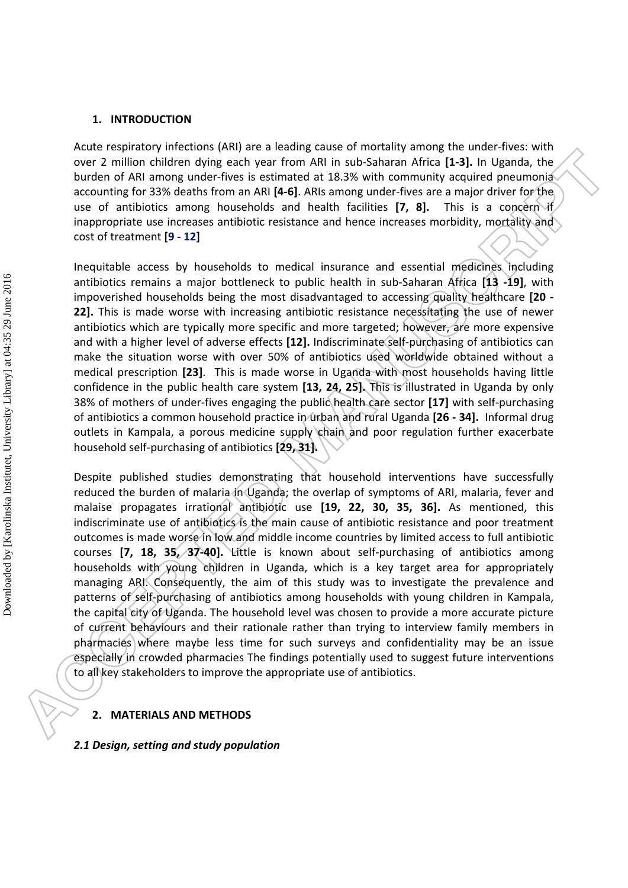### **1. INTRODUCTION**

Acute respiratory infections (ARI) are a leading cause of mortality among the under-fives: with over 2 million children dying each year from ARI in sub-Saharan Africa **[1-3].** In Uganda, the burden of ARI among under-fives is estimated at 18.3% with community acquired pneumonia accounting for 33% deaths from an ARI **[4-6]**. ARIs among under-fives are a major driver for the use of antibiotics among households and health facilities **[7, 8].** This is a concern if inappropriate use increases antibiotic resistance and hence increases morbidity, mortality and cost of treatment **[9 - 12]**

Inequitable access by households to medical insurance and essential medicines including antibiotics remains a major bottleneck to public health in sub-Saharan Africa **[13 -19]**, with impoverished households being the most disadvantaged to accessing quality healthcare **[20 - 22].** This is made worse with increasing antibiotic resistance necessitating the use of newer antibiotics which are typically more specific and more targeted; however, are more expensive and with a higher level of adverse effects **[12].** Indiscriminate self-purchasing of antibiotics can make the situation worse with over 50% of antibiotics used worldwide obtained without a medical prescription **[23]**. This is made worse in Uganda with most households having little confidence in the public health care system **[13, 24, 25].** This is illustrated in Uganda by only 38% of mothers of under-fives engaging the public health care sector **[17]** with self-purchasing of antibiotics a common household practice in urban and rural Uganda **[26 - 34].** Informal drug outlets in Kampala, a porous medicine supply chain and poor regulation further exacerbate household self-purchasing of antibiotics **[29, 31].**

Despite published studies demonstrating that household interventions have successfully reduced the burden of malaria in Uganda; the overlap of symptoms of ARI, malaria, fever and malaise propagates irrational antibiotic use **[19, 22, 30, 35, 36].** As mentioned, this indiscriminate use of antibiotics is the main cause of antibiotic resistance and poor treatment outcomes is made worse in low and middle income countries by limited access to full antibiotic courses **[7, 18, 35, 37-40].** Little is known about self-purchasing of antibiotics among households with young children in Uganda, which is a key target area for appropriately managing ARI. Consequently, the aim of this study was to investigate the prevalence and patterns of self-purchasing of antibiotics among households with young children in Kampala, the capital city of Uganda. The household level was chosen to provide a more accurate picture of current behaviours and their rationale rather than trying to interview family members in pharmacies where maybe less time for such surveys and confidentiality may be an issue especially in crowded pharmacies The findings potentially used to suggest future interventions to all key stakeholders to improve the appropriate use of antibiotics.

### **2. MATERIALS AND METHODS**

*2.1 Design, setting and study population*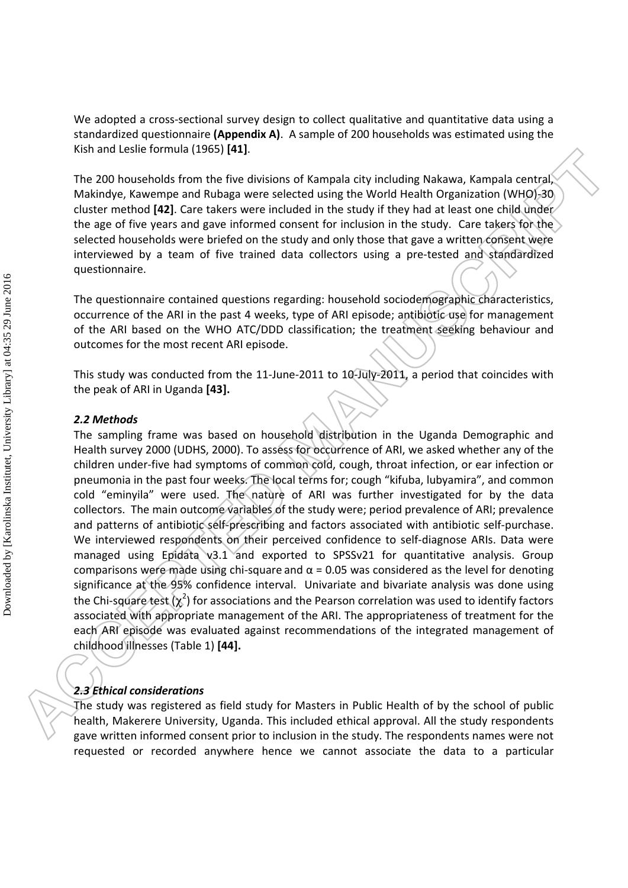We adopted a cross-sectional survey design to collect qualitative and quantitative data using a standardized questionnaire **(Appendix A)**. A sample of 200 households was estimated using the Kish and Leslie formula (1965) **[41]**.

The 200 households from the five divisions of Kampala city including Nakawa, Kampala central, Makindye, Kawempe and Rubaga were selected using the World Health Organization (WHO)-30 cluster method **[42]**. Care takers were included in the study if they had at least one child under the age of five years and gave informed consent for inclusion in the study. Care takers for the selected households were briefed on the study and only those that gave a written consent were interviewed by a team of five trained data collectors using a pre-tested and standardized questionnaire.

The questionnaire contained questions regarding: household sociodemographic characteristics, occurrence of the ARI in the past 4 weeks, type of ARI episode; antibiotic use for management of the ARI based on the WHO ATC/DDD classification; the treatment seeking behaviour and outcomes for the most recent ARI episode.

This study was conducted from the 11-June-2011 to 10-July-2011, a period that coincides with the peak of ARI in Uganda **[43].**

### *2.2 Methods*

The sampling frame was based on household distribution in the Uganda Demographic and Health survey 2000 (UDHS, 2000). To assess for occurrence of ARI, we asked whether any of the children under-five had symptoms of common cold, cough, throat infection, or ear infection or pneumonia in the past four weeks. The local terms for; cough "kifuba, lubyamira", and common cold "eminyila" were used. The nature of ARI was further investigated for by the data collectors. The main outcome variables of the study were; period prevalence of ARI; prevalence and patterns of antibiotic self-prescribing and factors associated with antibiotic self-purchase. We interviewed respondents on their perceived confidence to self-diagnose ARIs. Data were managed using Epidata v3.1 and exported to SPSSv21 for quantitative analysis. Group comparisons were made using chi-square and  $α = 0.05$  was considered as the level for denoting significance at the 95% confidence interval. Univariate and bivariate analysis was done using the Chi-square test  $(\chi^2)$  for associations and the Pearson correlation was used to identify factors associated with appropriate management of the ARI. The appropriateness of treatment for the each ARI episode was evaluated against recommendations of the integrated management of childhood illnesses (Table 1) **[44].**

### *2.3 Ethical considerations*

The study was registered as field study for Masters in Public Health of by the school of public health, Makerere University, Uganda. This included ethical approval. All the study respondents gave written informed consent prior to inclusion in the study. The respondents names were not requested or recorded anywhere hence we cannot associate the data to a particular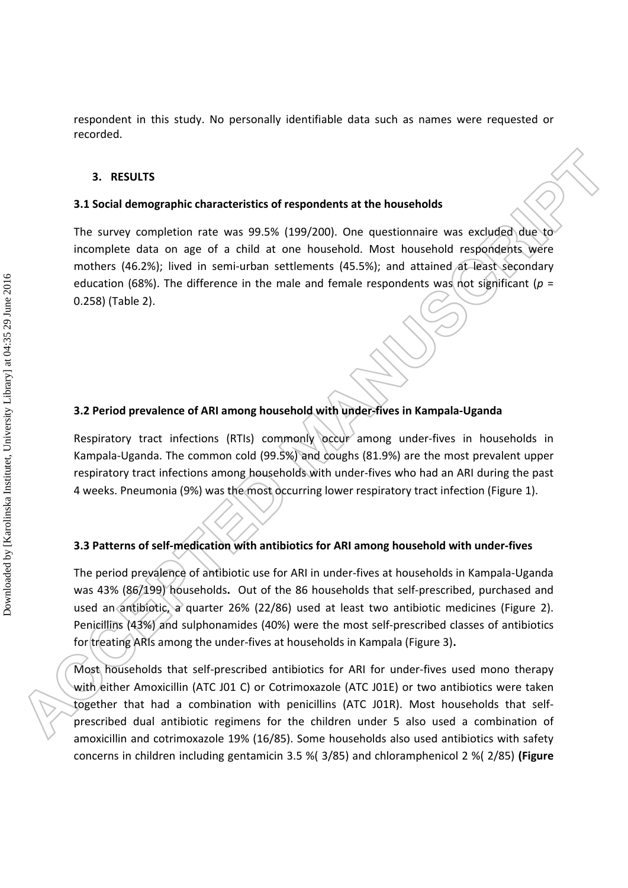respondent in this study. No personally identifiable data such as names were requested or recorded.

#### **3. RESULTS**

#### **3.1 Social demographic characteristics of respondents at the households**

The survey completion rate was 99.5% (199/200). One questionnaire was excluded due to incomplete data on age of a child at one household. Most household respondents were mothers (46.2%); lived in semi-urban settlements (45.5%); and attained at least secondary education (68%). The difference in the male and female respondents was not significant ( $p =$ 0.258) (Table 2).

## **3.2 Period prevalence of ARI among household with under-fives in Kampala-Uganda**

Respiratory tract infections (RTIs) commonly occur among under-fives in households in Kampala-Uganda. The common cold (99.5%) and coughs (81.9%) are the most prevalent upper respiratory tract infections among households with under-fives who had an ARI during the past 4 weeks. Pneumonia (9%) was the most occurring lower respiratory tract infection (Figure 1).

# **3.3 Patterns of self-medication with antibiotics for ARI among household with under-fives**

The period prevalence of antibiotic use for ARI in under-fives at households in Kampala-Uganda was 43% (86/199) households**.** Out of the 86 households that self-prescribed, purchased and used an antibiotic, a quarter 26% (22/86) used at least two antibiotic medicines (Figure 2). Penicillins (43%) and sulphonamides (40%) were the most self-prescribed classes of antibiotics for treating ARIs among the under-fives at households in Kampala (Figure 3)**.**

Most households that self-prescribed antibiotics for ARI for under-fives used mono therapy with either Amoxicillin (ATC J01 C) or Cotrimoxazole (ATC J01E) or two antibiotics were taken together that had a combination with penicillins (ATC J01R). Most households that selfprescribed dual antibiotic regimens for the children under 5 also used a combination of amoxicillin and cotrimoxazole 19% (16/85). Some households also used antibiotics with safety concerns in children including gentamicin 3.5 %( 3/85) and chloramphenicol 2 %( 2/85) **(Figure**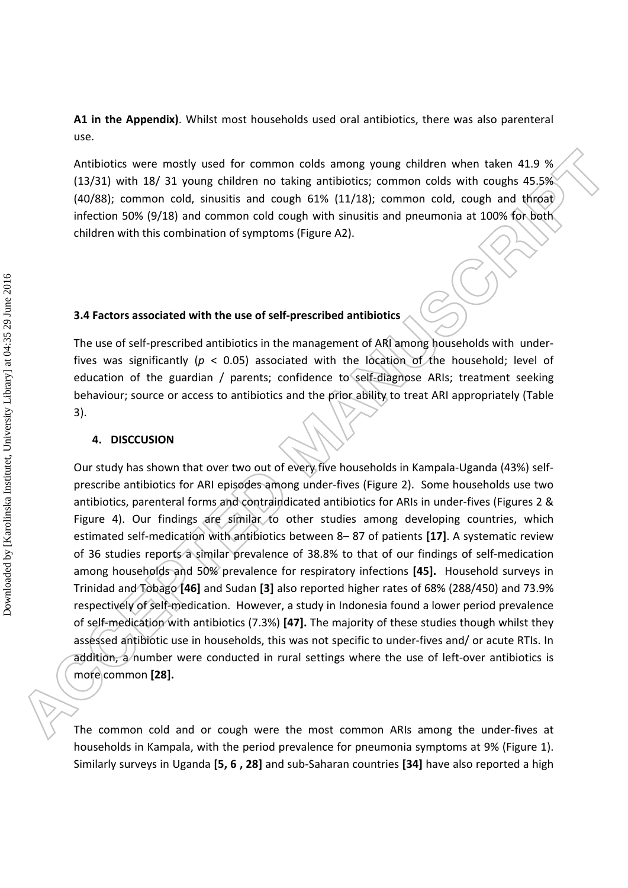**A1 in the Appendix)**. Whilst most households used oral antibiotics, there was also parenteral use.

Antibiotics were mostly used for common colds among young children when taken 41.9 % (13/31) with 18/ 31 young children no taking antibiotics; common colds with coughs 45.5% (40/88); common cold, sinusitis and cough 61% (11/18); common cold, cough and throat infection 50% (9/18) and common cold cough with sinusitis and pneumonia at 100% for both children with this combination of symptoms (Figure A2).

## **3.4 Factors associated with the use of self-prescribed antibiotics**

The use of self-prescribed antibiotics in the management of ARI among households with underfives was significantly (*p* < 0.05) associated with the location of the household; level of education of the guardian / parents; confidence to self-diagnose ARIs; treatment seeking behaviour; source or access to antibiotics and the prior ability to treat ARI appropriately (Table 3).

### **4. DISCCUSION**

Our study has shown that over two out of every five households in Kampala-Uganda (43%) selfprescribe antibiotics for ARI episodes among under-fives (Figure 2). Some households use two antibiotics, parenteral forms and contraindicated antibiotics for ARIs in under-fives (Figures 2 & Figure 4). Our findings are similar to other studies among developing countries, which estimated self-medication with antibiotics between 8– 87 of patients **[17]**. A systematic review of 36 studies reports a similar prevalence of 38.8% to that of our findings of self-medication among households and 50% prevalence for respiratory infections **[45].** Household surveys in Trinidad and Tobago **[46]** and Sudan **[3]** also reported higher rates of 68% (288/450) and 73.9% respectively of self-medication. However, a study in Indonesia found a lower period prevalence of self-medication with antibiotics (7.3%) **[47].** The majority of these studies though whilst they assessed antibiotic use in households, this was not specific to under-fives and/ or acute RTIs. In addition, a number were conducted in rural settings where the use of left-over antibiotics is more common **[28].**

The common cold and or cough were the most common ARIs among the under-fives at households in Kampala, with the period prevalence for pneumonia symptoms at 9% (Figure 1). Similarly surveys in Uganda **[5, 6 , 28]** and sub-Saharan countries **[34]** have also reported a high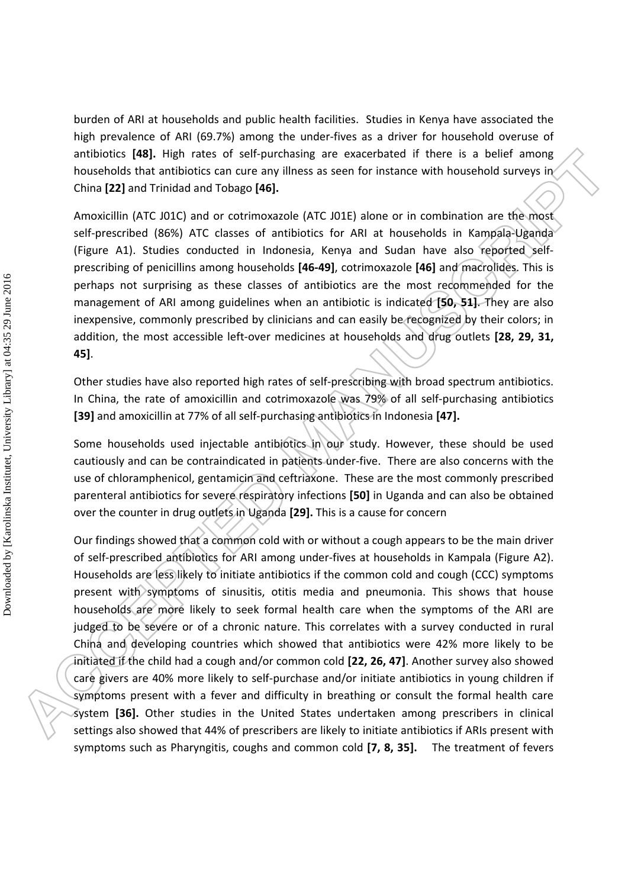burden of ARI at households and public health facilities. Studies in Kenya have associated the high prevalence of ARI (69.7%) among the under-fives as a driver for household overuse of antibiotics **[48].** High rates of self-purchasing are exacerbated if there is a belief among households that antibiotics can cure any illness as seen for instance with household surveys in China **[22]** and Trinidad and Tobago **[46].**

Amoxicillin (ATC J01C) and or cotrimoxazole (ATC J01E) alone or in combination are the most self-prescribed (86%) ATC classes of antibiotics for ARI at households in Kampala-Uganda (Figure A1). Studies conducted in Indonesia, Kenya and Sudan have also reported selfprescribing of penicillins among households **[46-49]**, cotrimoxazole **[46]** and macrolides. This is perhaps not surprising as these classes of antibiotics are the most recommended for the management of ARI among guidelines when an antibiotic is indicated **[50, 51]**. They are also inexpensive, commonly prescribed by clinicians and can easily be recognized by their colors; in addition, the most accessible left-over medicines at households and drug outlets **[28, 29, 31, 45]**.

Other studies have also reported high rates of self-prescribing with broad spectrum antibiotics. In China, the rate of amoxicillin and cotrimoxazole was 79% of all self-purchasing antibiotics **[39]** and amoxicillin at 77% of all self-purchasing antibiotics in Indonesia **[47].**

Some households used injectable antibiotics in our study. However, these should be used cautiously and can be contraindicated in patients under-five. There are also concerns with the use of chloramphenicol, gentamicin and ceftriaxone. These are the most commonly prescribed parenteral antibiotics for severe respiratory infections **[50]** in Uganda and can also be obtained over the counter in drug outlets in Uganda **[29].** This is a cause for concern

Our findings showed that a common cold with or without a cough appears to be the main driver of self-prescribed antibiotics for ARI among under-fives at households in Kampala (Figure A2). Households are less likely to initiate antibiotics if the common cold and cough (CCC) symptoms present with symptoms of sinusitis, otitis media and pneumonia. This shows that house households are more likely to seek formal health care when the symptoms of the ARI are judged to be severe or of a chronic nature. This correlates with a survey conducted in rural China and developing countries which showed that antibiotics were 42% more likely to be initiated if the child had a cough and/or common cold **[22, 26, 47]**. Another survey also showed care givers are 40% more likely to self-purchase and/or initiate antibiotics in young children if symptoms present with a fever and difficulty in breathing or consult the formal health care system **[36].** Other studies in the United States undertaken among prescribers in clinical settings also showed that 44% of prescribers are likely to initiate antibiotics if ARIs present with symptoms such as Pharyngitis, coughs and common cold **[7, 8, 35].** The treatment of fevers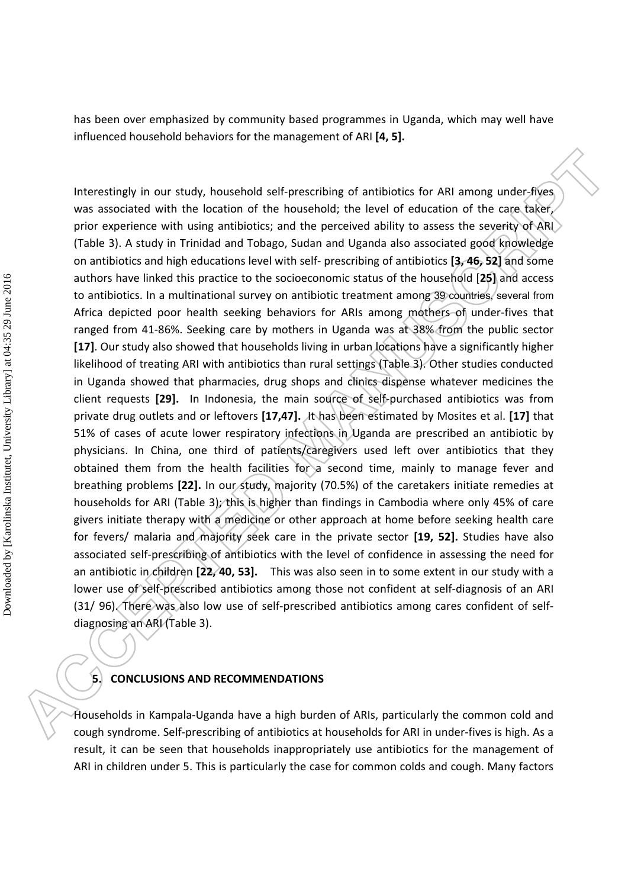has been over emphasized by community based programmes in Uganda, which may well have influenced household behaviors for the management of ARI **[4, 5].**

Interestingly in our study, household self-prescribing of antibiotics for ARI among under-fives was associated with the location of the household; the level of education of the care taker, prior experience with using antibiotics; and the perceived ability to assess the severity of ARI (Table 3). A study in Trinidad and Tobago, Sudan and Uganda also associated good knowledge on antibiotics and high educations level with self- prescribing of antibiotics **[3, 46, 52]** and some authors have linked this practice to the socioeconomic status of the household [**25]** and access to antibiotics. In a multinational survey on antibiotic treatment among 39 countries, several from Africa depicted poor health seeking behaviors for ARIs among mothers of under-fives that ranged from 41-86%. Seeking care by mothers in Uganda was at 38% from the public sector **[17]**. Our study also showed that households living in urban locations have a significantly higher likelihood of treating ARI with antibiotics than rural settings (Table 3). Other studies conducted in Uganda showed that pharmacies, drug shops and clinics dispense whatever medicines the client requests **[29].** In Indonesia, the main source of self-purchased antibiotics was from private drug outlets and or leftovers **[17,47].** It has been estimated by Mosites et al. **[17]** that 51% of cases of acute lower respiratory infections in Uganda are prescribed an antibiotic by physicians. In China, one third of patients/caregivers used left over antibiotics that they obtained them from the health facilities for a second time, mainly to manage fever and breathing problems **[22].** In our study, majority (70.5%) of the caretakers initiate remedies at households for ARI (Table 3); this is higher than findings in Cambodia where only 45% of care givers initiate therapy with a medicine or other approach at home before seeking health care for fevers/ malaria and majority seek care in the private sector **[19, 52].** Studies have also associated self-prescribing of antibiotics with the level of confidence in assessing the need for an antibiotic in children **[22, 40, 53].** This was also seen in to some extent in our study with a lower use of self-prescribed antibiotics among those not confident at self-diagnosis of an ARI (31/ 96). There was also low use of self-prescribed antibiotics among cares confident of selfdiagnosing an ARI (Table 3).

# **5. CONCLUSIONS AND RECOMMENDATIONS**

Households in Kampala-Uganda have a high burden of ARIs, particularly the common cold and cough syndrome. Self-prescribing of antibiotics at households for ARI in under-fives is high. As a result, it can be seen that households inappropriately use antibiotics for the management of ARI in children under 5. This is particularly the case for common colds and cough. Many factors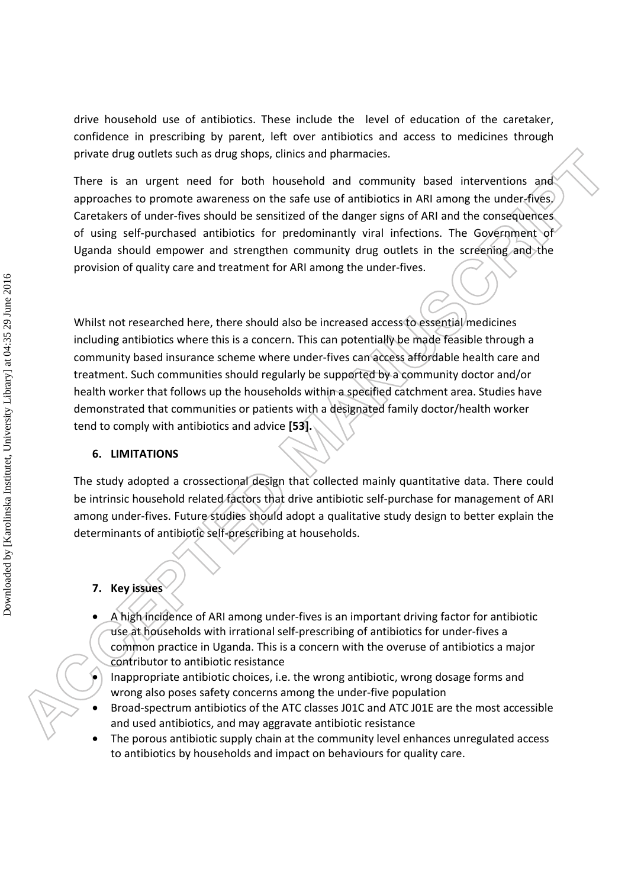drive household use of antibiotics. These include the level of education of the caretaker, confidence in prescribing by parent, left over antibiotics and access to medicines through private drug outlets such as drug shops, clinics and pharmacies.

There is an urgent need for both household and community based interventions and approaches to promote awareness on the safe use of antibiotics in ARI among the under-fives. Caretakers of under-fives should be sensitized of the danger signs of ARI and the consequences of using self-purchased antibiotics for predominantly viral infections. The Government of Uganda should empower and strengthen community drug outlets in the screening and the provision of quality care and treatment for ARI among the under-fives.

Whilst not researched here, there should also be increased access to essential medicines including antibiotics where this is a concern. This can potentially be made feasible through a community based insurance scheme where under-fives can access affordable health care and treatment. Such communities should regularly be supported by a community doctor and/or health worker that follows up the households within a specified catchment area. Studies have demonstrated that communities or patients with a designated family doctor/health worker tend to comply with antibiotics and advice **[53].** 

# **6. LIMITATIONS**

The study adopted a crossectional design that collected mainly quantitative data. There could be intrinsic household related factors that drive antibiotic self-purchase for management of ARI among under-fives. Future studies should adopt a qualitative study design to better explain the determinants of antibiotic self-prescribing at households.

# **7. Key issues**

- A high incidence of ARI among under-fives is an important driving factor for antibiotic use at households with irrational self-prescribing of antibiotics for under-fives a common practice in Uganda. This is a concern with the overuse of antibiotics a major contributor to antibiotic resistance
- Inappropriate antibiotic choices, i.e. the wrong antibiotic, wrong dosage forms and wrong also poses safety concerns among the under-five population
- Broad-spectrum antibiotics of the ATC classes J01C and ATC J01E are the most accessible and used antibiotics, and may aggravate antibiotic resistance
- The porous antibiotic supply chain at the community level enhances unregulated access to antibiotics by households and impact on behaviours for quality care.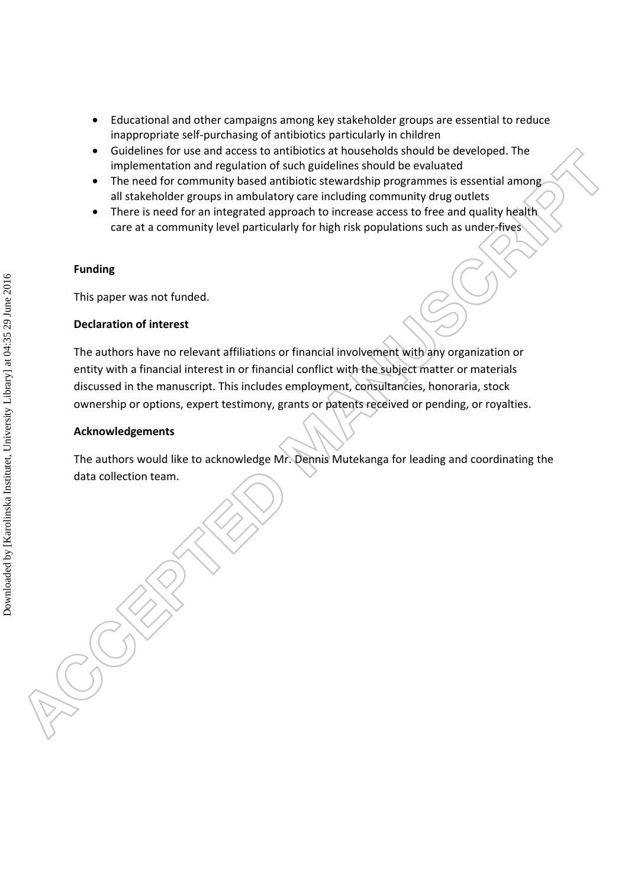- Educational and other campaigns among key stakeholder groups are essential to reduce inappropriate self-purchasing of antibiotics particularly in children
- Guidelines for use and access to antibiotics at households should be developed. The implementation and regulation of such guidelines should be evaluated
- The need for community based antibiotic stewardship programmes is essential among all stakeholder groups in ambulatory care including community drug outlets
- There is need for an integrated approach to increase access to free and quality health care at a community level particularly for high risk populations such as under-fives

# **Funding**

This paper was not funded.

# **Declaration of interest**

The authors have no relevant affiliations or financial involvement with any organization or entity with a financial interest in or financial conflict with the subject matter or materials discussed in the manuscript. This includes employment, consultancies, honoraria, stock ownership or options, expert testimony, grants or patents received or pending, or royalties.

# **Acknowledgements**

The authors would like to acknowledge Mr. Dennis Mutekanga for leading and coordinating the data collection team.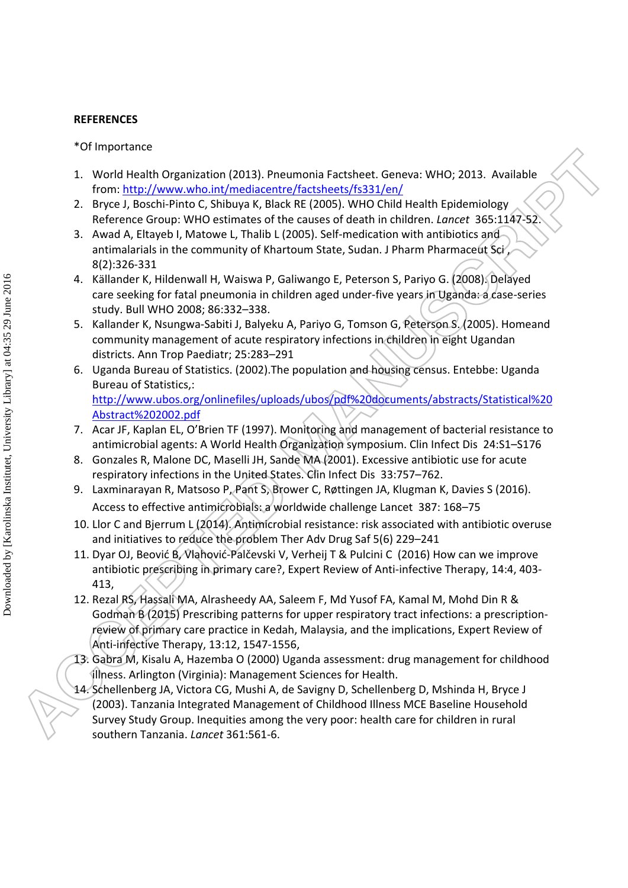## **REFERENCES**

\*Of Importance

- 1. World Health Organization (2013). Pneumonia Factsheet. Geneva: WHO; 2013. Available from: http://www.who.int/mediacentre/factsheets/fs331/en/
- 2. Bryce J, Boschi-Pinto C, Shibuya K, Black RE (2005). WHO Child Health Epidemiology Reference Group: WHO estimates of the causes of death in children. *Lancet* 365:1147-52.
- 3. Awad A, Eltayeb I, Matowe L, Thalib L (2005). Self-medication with antibiotics and antimalarials in the community of Khartoum State, Sudan. J Pharm Pharmaceut Sci 8(2):326-331
- 4. Källander K, Hildenwall H, Waiswa P, Galiwango E, Peterson S, Pariyo G. (2008). Delayed care seeking for fatal pneumonia in children aged under-five years in Uganda: a case-series study. Bull WHO 2008; 86:332–338.
- 5. Kallander K, Nsungwa-Sabiti J, Balyeku A, Pariyo G, Tomson G, Peterson S. (2005). Homeand community management of acute respiratory infections in children in eight Ugandan districts. Ann Trop Paediatr; 25:283–291
- 6. Uganda Bureau of Statistics. (2002).The population and housing census. Entebbe: Uganda Bureau of Statistics,: http://www.ubos.org/onlinefiles/uploads/ubos/pdf%20documents/abstracts/Statistical%20 Abstract%202002.pdf
- 7. Acar JF, Kaplan EL, O'Brien TF (1997). Monitoring and management of bacterial resistance to antimicrobial agents: A World Health Organization symposium. Clin Infect Dis 24:S1–S176
- 8. Gonzales R, Malone DC, Maselli JH, Sande MA (2001). Excessive antibiotic use for acute respiratory infections in the United States. Clin Infect Dis 33:757–762.
- 9. Laxminarayan R, Matsoso P, Pant S, Brower C, Røttingen JA, Klugman K, Davies S (2016). Access to effective antimicrobials: a worldwide challenge Lancet 387: 168–75
- 10. Llor C and Bjerrum L (2014). Antimicrobial resistance: risk associated with antibiotic overuse and initiatives to reduce the problem Ther Adv Drug Saf 5(6) 229–241
- 11. Dyar OJ, Beović B, Vlahović-Palčevski V, Verheij T & Pulcini C (2016) How can we improve antibiotic prescribing in primary care?, Expert Review of Anti-infective Therapy, 14:4, 403- 413,
- 12. Rezal RS, Hassali MA, Alrasheedy AA, Saleem F, Md Yusof FA, Kamal M, Mohd Din R & Godman B (2015) Prescribing patterns for upper respiratory tract infections: a prescriptionreview of primary care practice in Kedah, Malaysia, and the implications, Expert Review of Anti-infective Therapy, 13:12, 1547-1556,
- 13. Gabra M, Kisalu A, Hazemba O (2000) Uganda assessment: drug management for childhood illness. Arlington (Virginia): Management Sciences for Health.
- 14. Schellenberg JA, Victora CG, Mushi A, de Savigny D, Schellenberg D, Mshinda H, Bryce J (2003). Tanzania Integrated Management of Childhood Illness MCE Baseline Household Survey Study Group. Inequities among the very poor: health care for children in rural southern Tanzania. *Lancet* 361:561-6.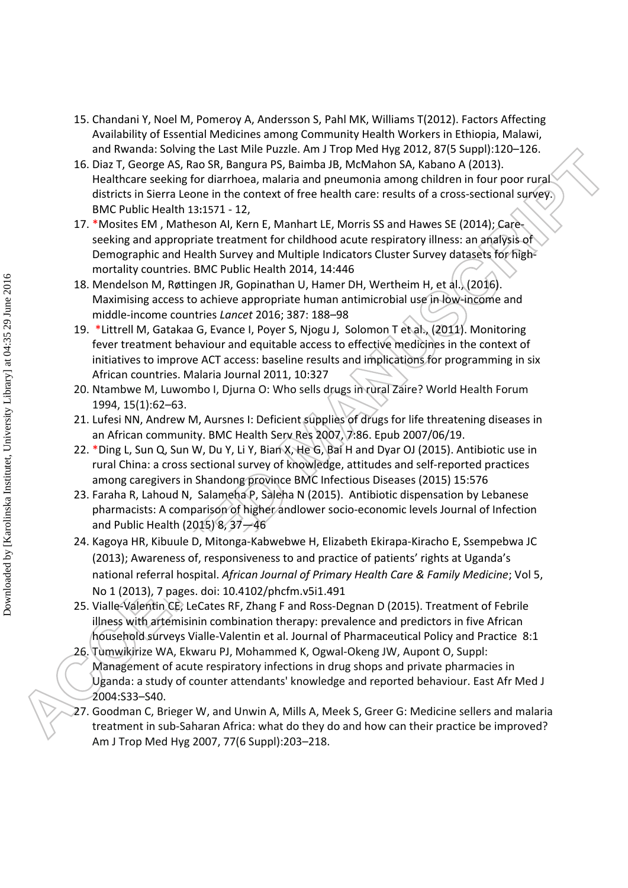- 15. Chandani Y, Noel M, Pomeroy A, Andersson S, Pahl MK, Williams T(2012). Factors Affecting Availability of Essential Medicines among Community Health Workers in Ethiopia, Malawi, and Rwanda: Solving the Last Mile Puzzle. Am J Trop Med Hyg 2012, 87(5 Suppl):120–126.
- 16. Diaz T, George AS, Rao SR, Bangura PS, Baimba JB, McMahon SA, Kabano A (2013). Healthcare seeking for diarrhoea, malaria and pneumonia among children in four poor rural districts in Sierra Leone in the context of free health care: results of a cross-sectional survey. BMC Public Health 13**:**1571 - 12,
- 17. \*Mosites EM , Matheson AI, Kern E, Manhart LE, Morris SS and Hawes SE (2014); Careseeking and appropriate treatment for childhood acute respiratory illness: an analysis of Demographic and Health Survey and Multiple Indicators Cluster Survey datasets for highmortality countries. BMC Public Health 2014, 14:446
- 18. Mendelson M, Røttingen JR, Gopinathan U, Hamer DH, Wertheim H, et al. (2016). Maximising access to achieve appropriate human antimicrobial use in low-income and middle-income countries *Lancet* 2016; 387: 188–98
- 19. \*Littrell M, Gatakaa G, Evance I, Poyer S, Njogu J, Solomon T et al., (2011). Monitoring fever treatment behaviour and equitable access to effective medicines in the context of initiatives to improve ACT access: baseline results and implications for programming in six African countries. Malaria Journal 2011, 10:327
- 20. Ntambwe M, Luwombo I, Djurna O: Who sells drugs in rural Zaire? World Health Forum 1994, 15(1):62–63.
- 21. Lufesi NN, Andrew M, Aursnes I: Deficient supplies of drugs for life threatening diseases in an African community. BMC Health Serv Res 2007, 7:86. Epub 2007/06/19.
- 22. \*Ding L, Sun Q, Sun W, Du Y, Li Y, Bian X, He G, Bai H and Dyar OJ (2015). Antibiotic use in rural China: a cross sectional survey of knowledge, attitudes and self-reported practices among caregivers in Shandong province BMC Infectious Diseases (2015) 15:576
- 23. Faraha R, Lahoud N, Salameha P, Saleha N (2015). Antibiotic dispensation by Lebanese pharmacists: A comparison of higher andlower socio-economic levels Journal of Infection and Public Health (2015) 8,  $37 - 46$
- 24. Kagoya HR, Kibuule D, Mitonga-Kabwebwe H, Elizabeth Ekirapa-Kiracho E, Ssempebwa JC (2013); Awareness of, responsiveness to and practice of patients' rights at Uganda's national referral hospital. *African Journal of Primary Health Care & Family Medicine*; Vol 5, No 1 (2013), 7 pages. doi: 10.4102/phcfm.v5i1.491
- 25. Vialle-Valentin CE, LeCates RF, Zhang F and Ross-Degnan D (2015). Treatment of Febrile illness with artemisinin combination therapy: prevalence and predictors in five African household surveys Vialle-Valentin et al. Journal of Pharmaceutical Policy and Practice 8:1
- 26. Tumwikirize WA, Ekwaru PJ, Mohammed K, Ogwal-Okeng JW, Aupont O, Suppl: Management of acute respiratory infections in drug shops and private pharmacies in Uganda: a study of counter attendants' knowledge and reported behaviour. East Afr Med J 2004:S33–S40.
- 27. Goodman C, Brieger W, and Unwin A, Mills A, Meek S, Greer G: Medicine sellers and malaria treatment in sub-Saharan Africa: what do they do and how can their practice be improved? Am J Trop Med Hyg 2007, 77(6 Suppl):203–218.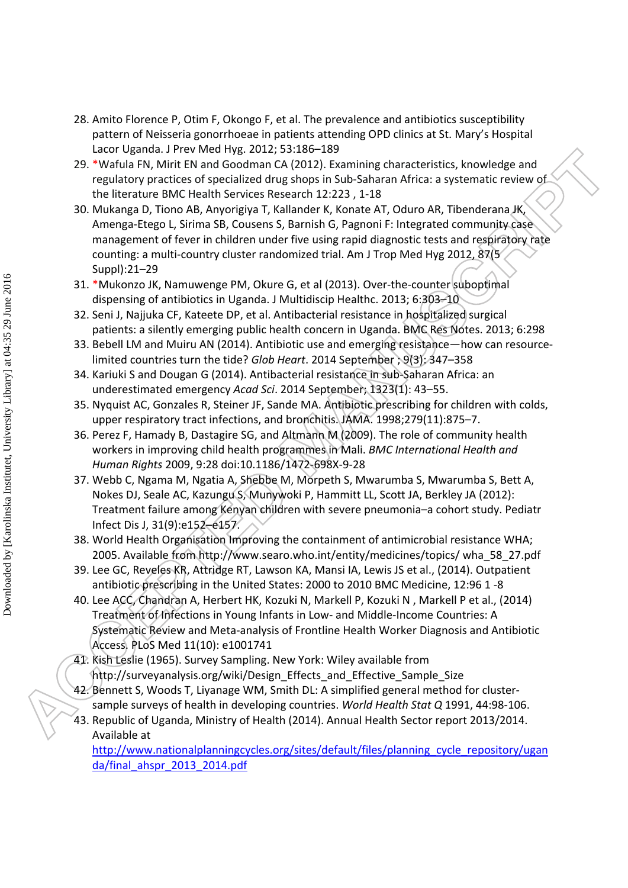- 28. Amito Florence P, Otim F, Okongo F, et al. The prevalence and antibiotics susceptibility pattern of Neisseria gonorrhoeae in patients attending OPD clinics at St. Mary's Hospital Lacor Uganda. J Prev Med Hyg. 2012; 53:186–189
- 29. \*Wafula FN, Mirit EN and Goodman CA (2012). Examining characteristics, knowledge and regulatory practices of specialized drug shops in Sub-Saharan Africa: a systematic review of the literature BMC Health Services Research 12:223 , 1-18
- 30. Mukanga D, Tiono AB, Anyorigiya T, Kallander K, Konate AT, Oduro AR, Tibenderana JK, Amenga-Etego L, Sirima SB, Cousens S, Barnish G, Pagnoni F: Integrated community case management of fever in children under five using rapid diagnostic tests and respiratory rate counting: a multi-country cluster randomized trial. Am J Trop Med Hyg 2012, 87(5 Suppl):21–29
- 31. \*Mukonzo JK, Namuwenge PM, Okure G, et al (2013). Over-the-counter suboptimal dispensing of antibiotics in Uganda. J Multidiscip Healthc. 2013; 6:303–10
- 32. Seni J, Najjuka CF, Kateete DP, et al. Antibacterial resistance in hospitalized surgical patients: a silently emerging public health concern in Uganda. BMC Res Notes. 2013; 6:298
- 33. Bebell LM and Muiru AN (2014). Antibiotic use and emerging resistance—how can resourcelimited countries turn the tide? *Glob Heart*. 2014 September ; 9(3): 347–358
- 34. Kariuki S and Dougan G (2014). Antibacterial resistance in sub-Saharan Africa: an underestimated emergency *Acad Sci*. 2014 September; 1323(1): 43–55.
- 35. Nyquist AC, Gonzales R, Steiner JF, Sande MA. Antibiotic prescribing for children with colds, upper respiratory tract infections, and bronchitis. JAMA. 1998;279(11):875–7.
- 36. Perez F, Hamady B, Dastagire SG, and Altmann M (2009). The role of community health workers in improving child health programmes in Mali. *BMC International Health and Human Rights* 2009, 9:28 doi:10.1186/1472-698X-9-28
- 37. Webb C, Ngama M, Ngatia A, Shebbe M, Morpeth S, Mwarumba S, Mwarumba S, Bett A, Nokes DJ, Seale AC, Kazungu S, Munywoki P, Hammitt LL, Scott JA, Berkley JA (2012): Treatment failure among Kenyan children with severe pneumonia–a cohort study. Pediatr Infect Dis J, 31(9):e152–e157.
- 38. World Health Organisation Improving the containment of antimicrobial resistance WHA; 2005. Available from http://www.searo.who.int/entity/medicines/topics/ wha\_58\_27.pdf
- 39. Lee GC, Reveles KR, Attridge RT, Lawson KA, Mansi IA, Lewis JS et al., (2014). Outpatient antibiotic prescribing in the United States: 2000 to 2010 BMC Medicine, 12:96 1 -8
- 40. Lee ACC, Chandran A, Herbert HK, Kozuki N, Markell P, Kozuki N , Markell P et al., (2014) Treatment of Infections in Young Infants in Low- and Middle-Income Countries: A Systematic Review and Meta-analysis of Frontline Health Worker Diagnosis and Antibiotic Access. PLoS Med 11(10): e1001741
- 41. Kish Leslie (1965). Survey Sampling. New York: Wiley available from http://surveyanalysis.org/wiki/Design\_Effects\_and\_Effective\_Sample\_Size
- 42. Bennett S, Woods T, Liyanage WM, Smith DL: A simplified general method for clustersample surveys of health in developing countries. *World Health Stat Q* 1991, 44:98-106.
- 43. Republic of Uganda, Ministry of Health (2014). Annual Health Sector report 2013/2014. Available at

http://www.nationalplanningcycles.org/sites/default/files/planning\_cycle\_repository/ugan da/final\_ahspr\_2013\_2014.pdf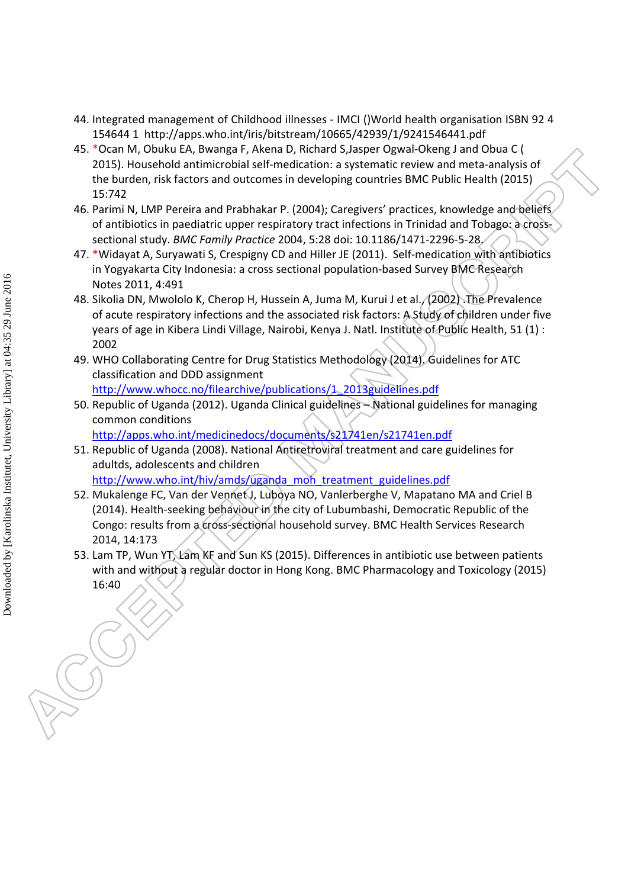- 44. Integrated management of Childhood illnesses IMCI ()World health organisation ISBN 92 4 154644 1 http://apps.who.int/iris/bitstream/10665/42939/1/9241546441.pdf
- 45. \*Ocan M, Obuku EA, Bwanga F, Akena D, Richard S,Jasper Ogwal-Okeng J and Obua C ( 2015). Household antimicrobial self-medication: a systematic review and meta-analysis of the burden, risk factors and outcomes in developing countries BMC Public Health (2015) 15:742
- 46. Parimi N, LMP Pereira and Prabhakar P. (2004); Caregivers' practices, knowledge and beliefs of antibiotics in paediatric upper respiratory tract infections in Trinidad and Tobago: a crosssectional study. *BMC Family Practice* 2004, 5:28 doi: 10.1186/1471-2296-5-28.
- 47. \*Widayat A, Suryawati S, Crespigny CD and Hiller JE (2011). Self-medication with antibiotics in Yogyakarta City Indonesia: a cross sectional population-based Survey BMC Research Notes 2011, 4:491
- 48. Sikolia DN, Mwololo K, Cherop H, Hussein A, Juma M, Kurui J et al. (2002). The Prevalence of acute respiratory infections and the associated risk factors: A Study of children under five years of age in Kibera Lindi Village, Nairobi, Kenya J. Natl. Institute of Public Health, 51 (1) : 2002
- 49. WHO Collaborating Centre for Drug Statistics Methodology (2014). Guidelines for ATC classification and DDD assignment http://www.whocc.no/filearchive/publications/1\_2013guidelines.pdf
- 50. Republic of Uganda (2012). Uganda Clinical guidelines National guidelines for managing common conditions

http://apps.who.int/medicinedocs/documents/s21741en/s21741en.pdf

51. Republic of Uganda (2008). National Antiretroviral treatment and care guidelines for adultds, adolescents and children

http://www.who.int/hiv/amds/uganda\_moh\_treatment\_guidelines.pdf 52. Mukalenge FC, Van der Vennet J, Luboya NO, Vanlerberghe V, Mapatano MA and Criel B

- (2014). Health-seeking behaviour in the city of Lubumbashi, Democratic Republic of the Congo: results from a cross-sectional household survey. BMC Health Services Research 2014, 14:173
- 53. Lam TP, Wun YT, Lam KF and Sun KS (2015). Differences in antibiotic use between patients with and without a regular doctor in Hong Kong. BMC Pharmacology and Toxicology (2015) 16:40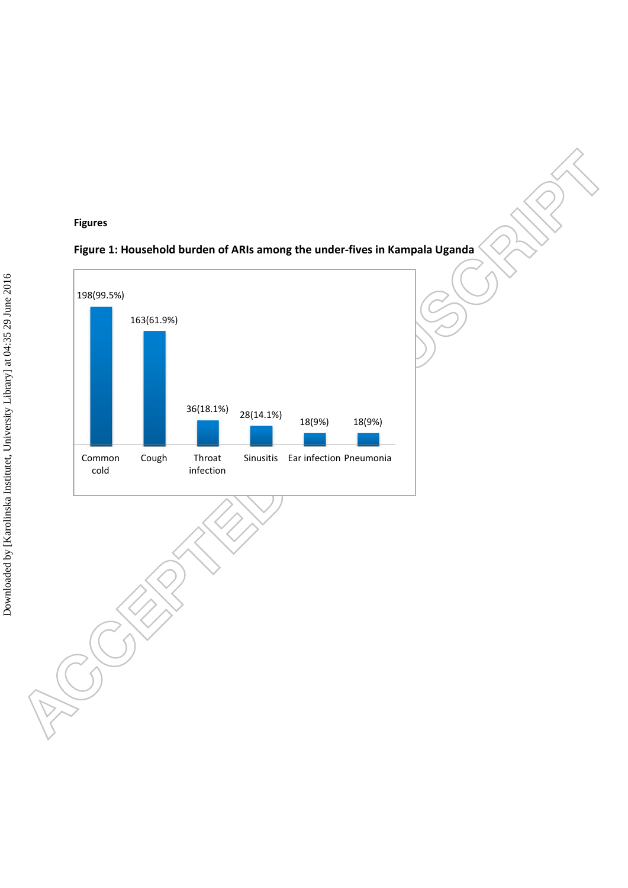## **Figures**



# **Figure 1: Household burden of ARIs among the under-fives in Kampala Uganda**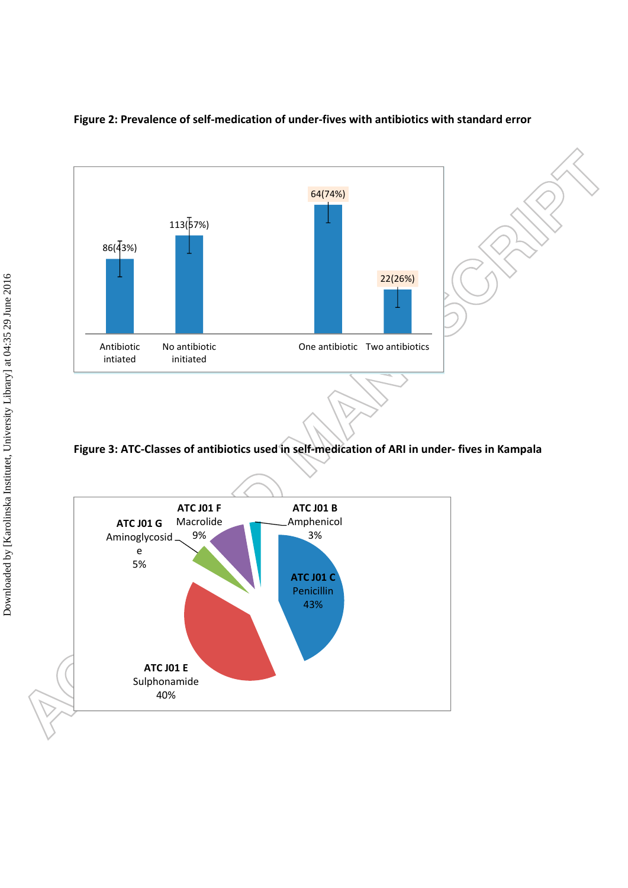

## **Figure 2: Prevalence of self-medication of under-fives with antibiotics with standard error**

**Figure 3: ATC-Classes of antibiotics used in self-medication of ARI in under- fives in Kampala** 

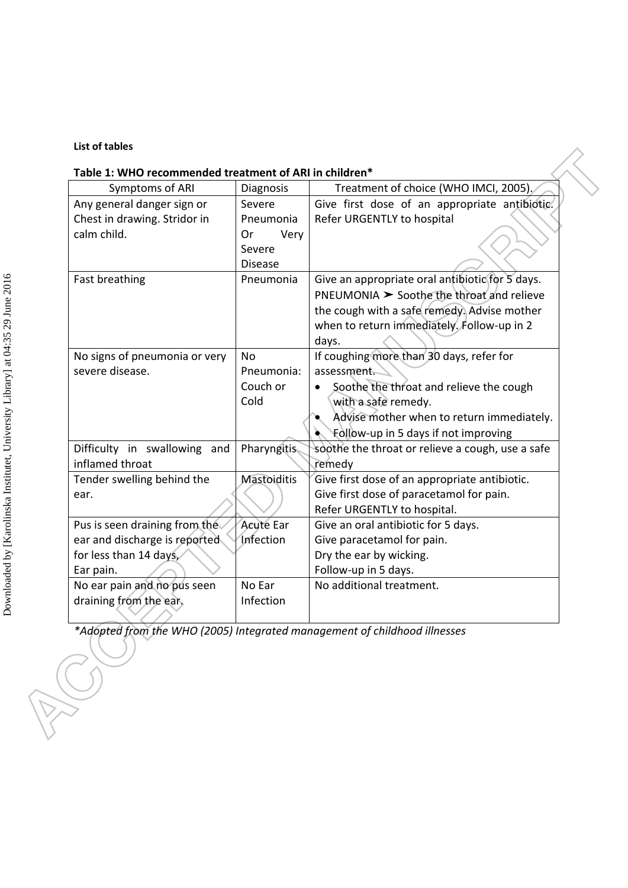## **List of tables**

# **Table 1: WHO recommended treatment of ARI in children\***

| Symptoms of ARI               | Diagnosis          | Treatment of choice (WHO IMCI, 2005).            |
|-------------------------------|--------------------|--------------------------------------------------|
| Any general danger sign or    | Severe             | Give first dose of an appropriate antibiotic.    |
| Chest in drawing. Stridor in  | Pneumonia          | Refer URGENTLY to hospital                       |
| calm child.                   | Very<br>Or         |                                                  |
|                               | Severe             |                                                  |
|                               | <b>Disease</b>     |                                                  |
| Fast breathing                | Pneumonia          | Give an appropriate oral antibiotic for 5 days.  |
|                               |                    | $PNEUMONIA$ $\geq$ Soothe the throat and relieve |
|                               |                    | the cough with a safe remedy. Advise mother      |
|                               |                    | when to return immediately. Follow-up in 2       |
|                               |                    | days.                                            |
| No signs of pneumonia or very | No.                | If coughing more than 30 days, refer for         |
| severe disease.               | Pneumonia:         | assessment.                                      |
|                               | Couch or           | Soothe the throat and relieve the cough          |
|                               | Cold               | with a safe remedy.                              |
|                               |                    | Advise mother when to return immediately.        |
|                               |                    | Follow-up in 5 days if not improving             |
| Difficulty in swallowing and  | <b>Pharyngitis</b> | soothe the throat or relieve a cough, use a safe |
| inflamed throat               |                    | remedy                                           |
| Tender swelling behind the    | <b>Mastoiditis</b> | Give first dose of an appropriate antibiotic.    |
| ear.                          |                    | Give first dose of paracetamol for pain.         |
|                               |                    | Refer URGENTLY to hospital.                      |
| Pus is seen draining from the | <b>Acute Ear</b>   | Give an oral antibiotic for 5 days.              |
| ear and discharge is reported | Infection          | Give paracetamol for pain.                       |
| for less than 14 days,        |                    | Dry the ear by wicking.                          |
| Ear pain.                     |                    | Follow-up in 5 days.                             |
| No ear pain and no pus seen   | No Ear             | No additional treatment.                         |
| draining from the ear,        | Infection          |                                                  |
|                               |                    |                                                  |

*\*Adopted from the WHO (2005) Integrated management of childhood illnesses*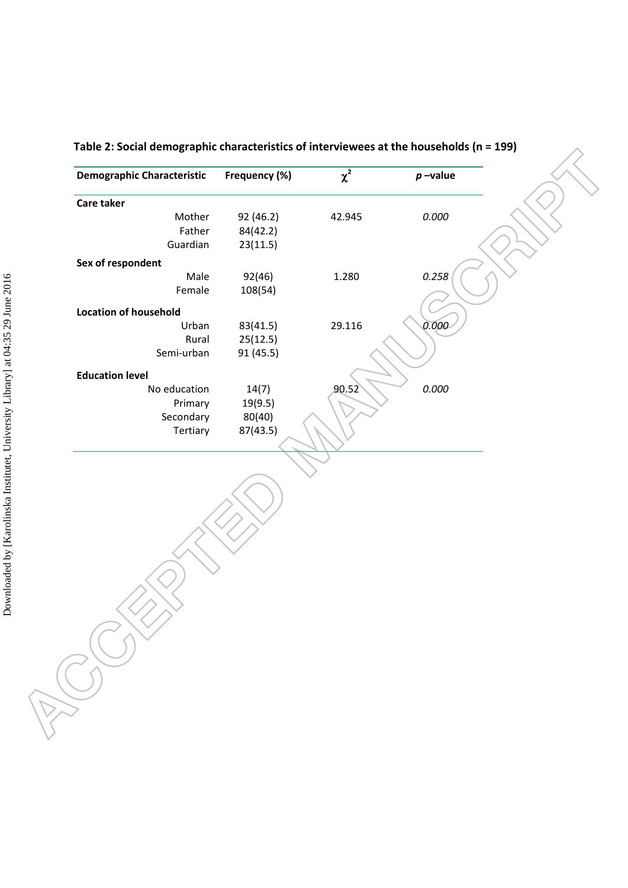| <b>Demographic Characteristic</b> | Frequency (%) | $\chi^2$ | $p$ -value |
|-----------------------------------|---------------|----------|------------|
| <b>Care taker</b>                 |               |          |            |
| Mother                            | 92 (46.2)     | 42.945   | 0.000      |
| Father                            | 84(42.2)      |          |            |
| Guardian                          | 23(11.5)      |          |            |
| Sex of respondent                 |               |          |            |
| Male                              | 92(46)        | 1.280    | 0.258      |
| Female                            | 108(54)       |          |            |
| <b>Location of household</b>      |               |          |            |
| Urban                             | 83(41.5)      | 29.116   | 0.000      |
| Rural                             | 25(12.5)      |          |            |
| Semi-urban                        | 91 (45.5)     |          |            |
| <b>Education level</b>            |               |          |            |
| No education                      | 14(7)         | 90.52    | 0.000      |
| Primary                           | 19(9.5)       |          |            |
| Secondary                         | 80(40)        |          |            |
| Tertiary                          | 87(43.5)      |          |            |
|                                   |               |          |            |
|                                   |               |          |            |
|                                   |               |          |            |

**Table 2: Social demographic characteristics of interviewees at the households (n = 199)**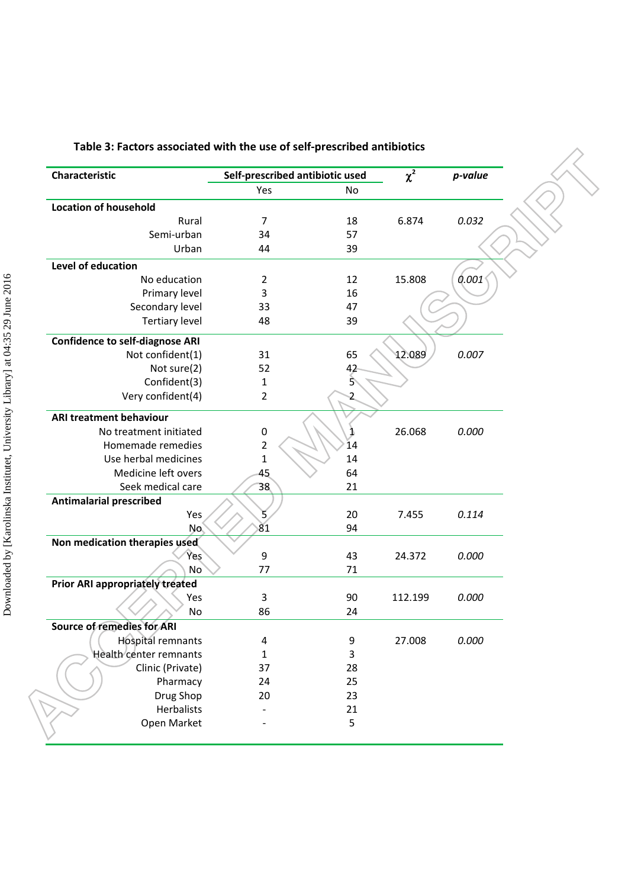| Characteristic                         | Self-prescribed antibiotic used |          | $\overline{\chi^2}$ | p-value |
|----------------------------------------|---------------------------------|----------|---------------------|---------|
|                                        | Yes                             | No       |                     |         |
| <b>Location of household</b>           |                                 |          |                     |         |
| Rural                                  | 7                               | 18       | 6.874               | 0.032   |
| Semi-urban                             | 34                              | 57       |                     |         |
| Urban                                  | 44                              | 39       |                     |         |
| Level of education                     |                                 |          |                     |         |
| No education                           | $\overline{2}$                  | 12       | 15.808              | 0.001   |
| Primary level                          | 3                               | 16       |                     |         |
| Secondary level                        | 33                              | 47       |                     |         |
| <b>Tertiary level</b>                  | 48                              | 39       |                     |         |
| <b>Confidence to self-diagnose ARI</b> |                                 |          |                     |         |
| Not confident(1)                       | 31                              | 65       | 12.089              | 0.007   |
| Not sure(2)                            | 52                              | 42       |                     |         |
| Confident(3)                           | 1                               | 5        |                     |         |
| Very confident(4)                      | $\overline{2}$                  | 2        |                     |         |
| <b>ARI treatment behaviour</b>         |                                 |          |                     |         |
| No treatment initiated                 | 0                               | 1        | 26.068              | 0.000   |
| Homemade remedies                      | $\overline{2}$                  | 14       |                     |         |
| Use herbal medicines                   | 1                               | 14       |                     |         |
| Medicine left overs                    | 45                              | 64       |                     |         |
| Seek medical care                      | 38                              | 21       |                     |         |
| <b>Antimalarial prescribed</b>         |                                 |          |                     |         |
| Yes                                    | 5.                              | 20       | 7.455               | 0.114   |
| No.                                    | 81                              | 94       |                     |         |
| Non medication therapies used          |                                 |          |                     | 0.000   |
| <b>Yes</b><br>No <sup>1</sup>          | 9<br>77                         | 43<br>71 | 24.372              |         |
| Prior ARI appropriately treated        |                                 |          |                     |         |
| Yes                                    | 3                               | 90       | 112.199             | 0.000   |
| No                                     | 86                              | 24       |                     |         |
| Source of remedies for ARI             |                                 |          |                     |         |
| <b>Hospital remnants</b>               | 4                               | 9        | 27.008              | 0.000   |
| Health center remnants                 | 1                               | 3        |                     |         |
| Clinic (Private)                       | 37                              | 28       |                     |         |
| Pharmacy                               | 24                              | 25       |                     |         |
| Drug Shop                              | 20                              | 23       |                     |         |
|                                        |                                 | 21       |                     |         |
| Herbalists                             |                                 |          |                     |         |

# **Table 3: Factors associated with the use of self-prescribed antibiotics**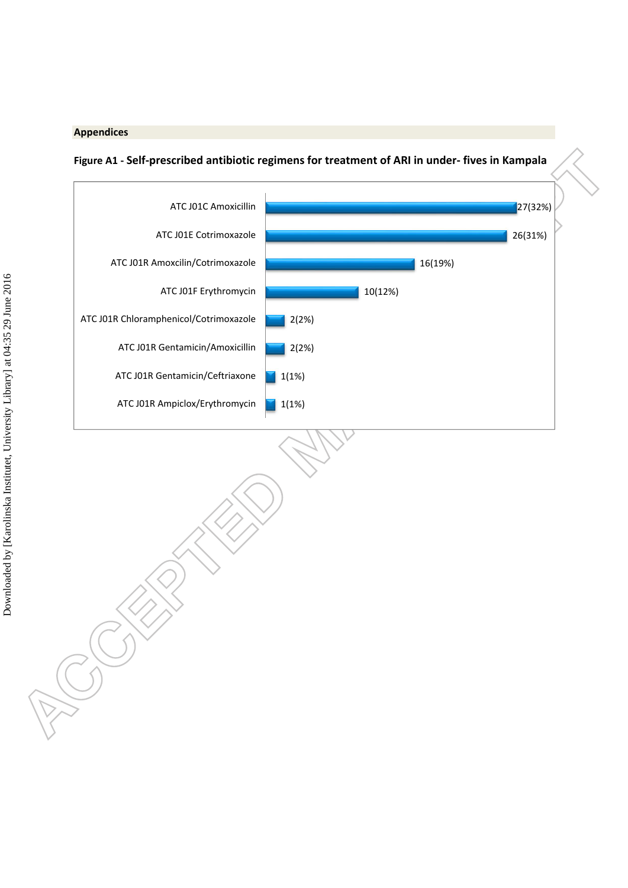### **Appendices**



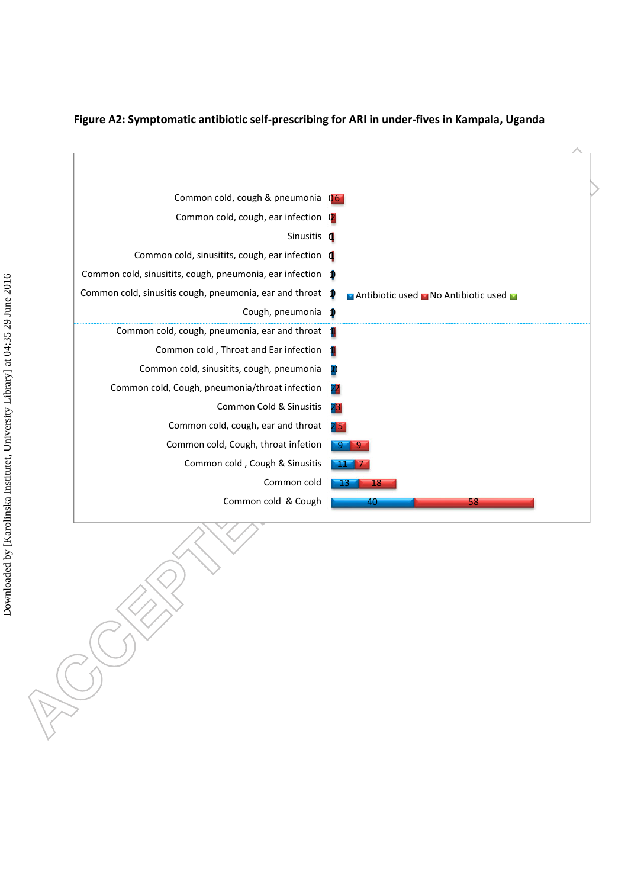

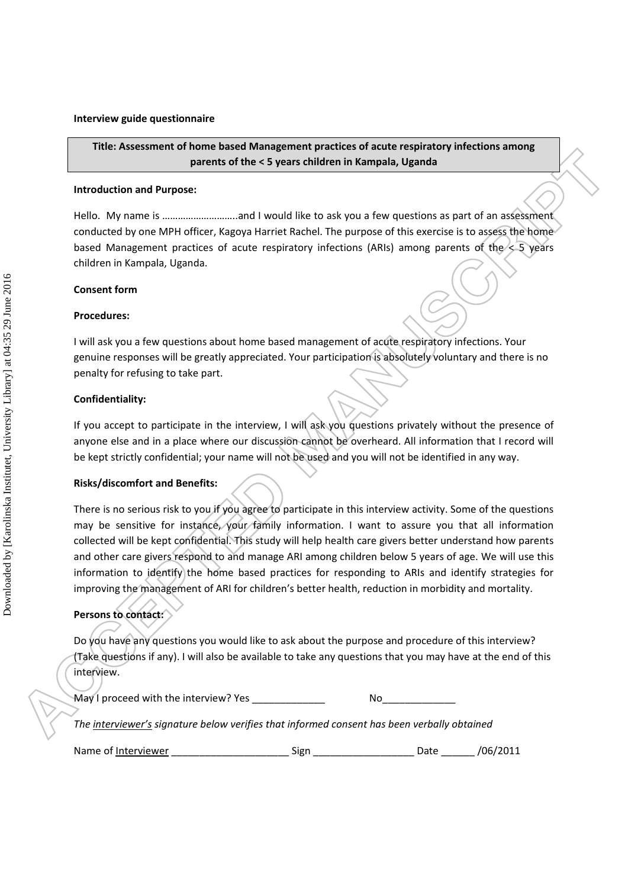#### **Interview guide questionnaire**

# **Title: Assessment of home based Management practices of acute respiratory infections among parents of the < 5 years children in Kampala, Uganda**

#### **Introduction and Purpose:**

Hello. My name is ………………………..and I would like to ask you a few questions as part of an assessment conducted by one MPH officer, Kagoya Harriet Rachel. The purpose of this exercise is to assess the home based Management practices of acute respiratory infections (ARIs) among parents of the < 5 years children in Kampala, Uganda.

#### **Consent form**

#### **Procedures:**

I will ask you a few questions about home based management of acute respiratory infections. Your genuine responses will be greatly appreciated. Your participation is absolutely voluntary and there is no penalty for refusing to take part.

### **Confidentiality:**

If you accept to participate in the interview, I will ask you questions privately without the presence of anyone else and in a place where our discussion cannot be overheard. All information that I record will be kept strictly confidential; your name will not be used and you will not be identified in any way.

#### **Risks/discomfort and Benefits:**

There is no serious risk to you if you agree to participate in this interview activity. Some of the questions may be sensitive for instance, your family information. I want to assure you that all information collected will be kept confidential. This study will help health care givers better understand how parents and other care givers respond to and manage ARI among children below 5 years of age. We will use this information to identify the home based practices for responding to ARIs and identify strategies for improving the management of ARI for children's better health, reduction in morbidity and mortality.

### **Persons to contact:**

Do you have any questions you would like to ask about the purpose and procedure of this interview? (Take questions if any). I will also be available to take any questions that you may have at the end of this interview.

| May I proceed with the interview? Yes | Nο |
|---------------------------------------|----|
|                                       |    |

*The interviewer's signature below verifies that informed consent has been verbally obtained*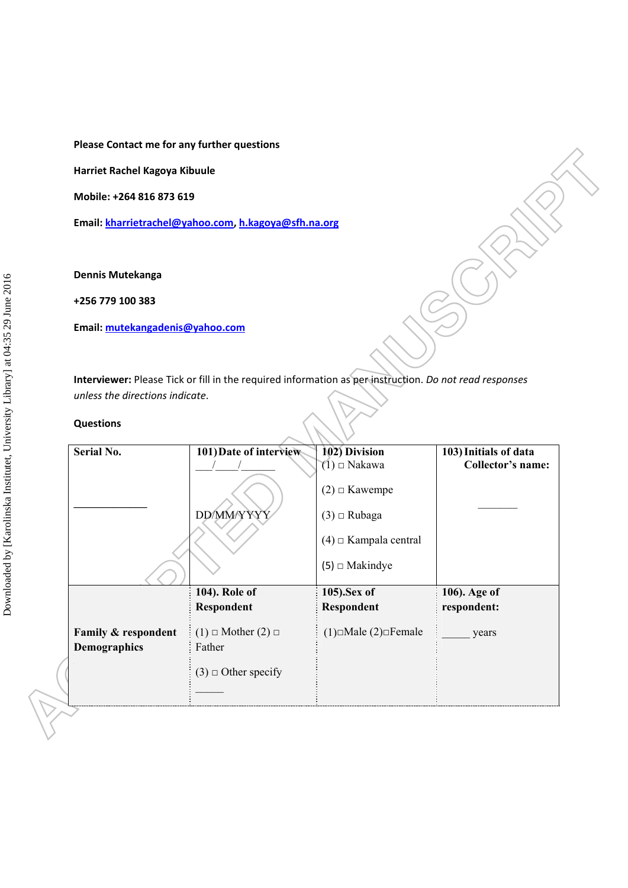**Please Contact me for any further questions** 

**Harriet Rachel Kagoya Kibuule** 

**Mobile: +264 816 873 619** 

**Email: kharrietrachel@yahoo.com, h.kagoya@sfh.na.org** 

**Dennis Mutekanga** 

**+256 779 100 383** 

**Email: mutekangadenis@yahoo.com**

**Interviewer:** Please Tick or fill in the required information as per instruction. *Do not read responses unless the directions indicate*.

#### **Questions**

| Serial No.                                 | 101) Date of interview                                                   | 102) Division                         | 103) Initials of data |
|--------------------------------------------|--------------------------------------------------------------------------|---------------------------------------|-----------------------|
|                                            |                                                                          | $(1)$ $\Box$ Nakawa                   | Collector's name:     |
|                                            |                                                                          | $(2)$ $\Box$ Kawempe                  |                       |
|                                            | DD/MM/YYYY                                                               | $(3)$ $\Box$ Rubaga                   |                       |
|                                            |                                                                          | $(4)$ $\Box$ Kampala central          |                       |
|                                            |                                                                          | (5) $\Box$ Makindye                   |                       |
|                                            | 104). Role of                                                            | 105).Sex of                           | 106). Age of          |
|                                            | <b>Respondent</b>                                                        | <b>Respondent</b>                     | respondent:           |
| Family & respondent<br><b>Demographics</b> | $(1)$ $\Box$ Mother $(2)$ $\Box$<br>Father<br>$(3)$ $\Box$ Other specify | $(1)$ $\Box$ Male $(2)$ $\Box$ Female | years                 |
|                                            |                                                                          |                                       |                       |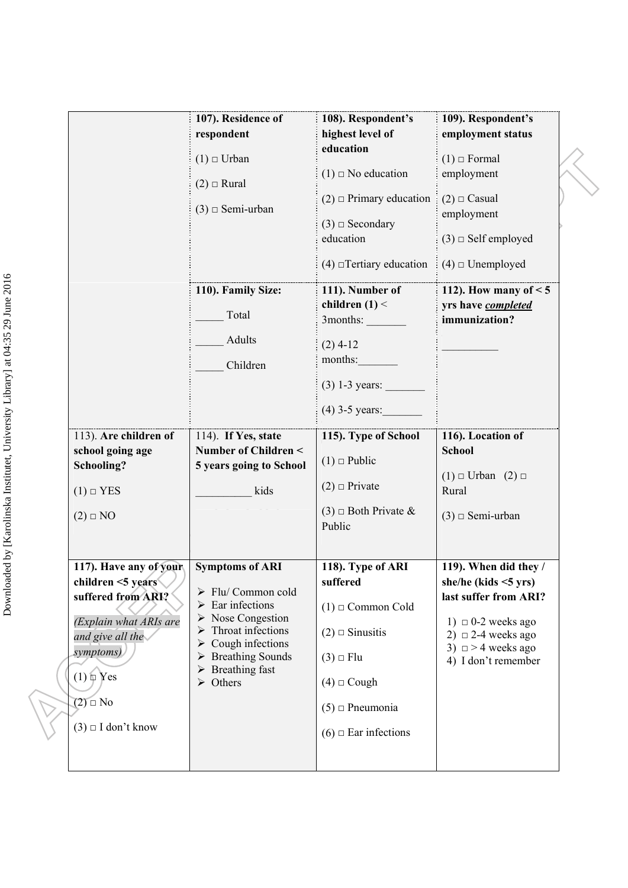|                                                                                                                                                                                                    | 107). Residence of<br>respondent<br>$(1) \square$ Urban<br>$(2) \square$ Rural<br>$(3)$ $\Box$ Semi-urban<br>110). Family Size:<br>Total<br>Adults<br>Children                                                                                                                           | 108). Respondent's<br>highest level of<br>education<br>$(1)$ $\Box$ No education<br>$(2)$ $\Box$ Primary education<br>$(3)$ $\Box$ Secondary<br>education<br>$(4)$ $\Box$ Tertiary education<br>111). Number of<br>children $(1)$ <<br>3months:<br>$(2)$ 4-12<br>months:<br>$(3)$ 1-3 years: | 109). Respondent's<br>employment status<br>$(1)$ $\Box$ Formal<br>employment<br>$(2) \square$ Casual<br>employment<br>$(3)$ $\Box$ Self employed<br>$(4)$ $\Box$ Unemployed<br>112). How many of $< 5$<br>yrs have completed<br>immunization? |  |
|----------------------------------------------------------------------------------------------------------------------------------------------------------------------------------------------------|------------------------------------------------------------------------------------------------------------------------------------------------------------------------------------------------------------------------------------------------------------------------------------------|----------------------------------------------------------------------------------------------------------------------------------------------------------------------------------------------------------------------------------------------------------------------------------------------|-----------------------------------------------------------------------------------------------------------------------------------------------------------------------------------------------------------------------------------------------|--|
| 113). Are children of<br>school going age<br>Schooling?<br>$(1) \square$ YES<br>$(2) \square$ NO                                                                                                   | 114). If Yes, state<br>Number of Children <<br>5 years going to School<br>kids                                                                                                                                                                                                           | $(4)$ 3-5 years:<br>115). Type of School<br>$(1)$ $\Box$ Public<br>$(2)$ $\Box$ Private<br>$(3)$ $\Box$ Both Private &<br>Public                                                                                                                                                             | 116). Location of<br><b>School</b><br>$(1) \square$ Urban $(2) \square$<br>Rural<br>$(3)$ $\square$ Semi-urban                                                                                                                                |  |
| 117). Have any of your<br>children <5 years<br>suffered from ARI?<br>(Explain what ARIs are<br>and give all the<br>symptoms)<br>$(1) \oplus Y$ es<br>$(2)$ $\Box$ No<br>$(3) \square$ I don't know | <b>Symptoms of ARI</b><br>$\triangleright$ Flu/ Common cold<br>$\triangleright$ Ear infections<br>$\triangleright$ Nose Congestion<br>Throat infections<br>➤<br>Cough infections<br>➤<br>$\triangleright$ Breathing Sounds<br>$\triangleright$ Breathing fast<br>$\triangleright$ Others | 118). Type of ARI<br>suffered<br>$(1)$ $\square$ Common Cold<br>$(2)$ $\square$ Sinusitis<br>$(3)$ $\Box$ Flu<br>$(4)$ $\Box$ Cough<br>$(5)$ $\Box$ Pneumonia<br>$(6)$ $\Box$ Ear infections                                                                                                 | 119). When did they /<br>she/he (kids $\leq$ 5 yrs)<br>last suffer from ARI?<br>1) $\Box$ 0-2 weeks ago<br>2) $\Box$ 2-4 weeks ago<br>3) $\Box$ > 4 weeks ago<br>4) I don't remember                                                          |  |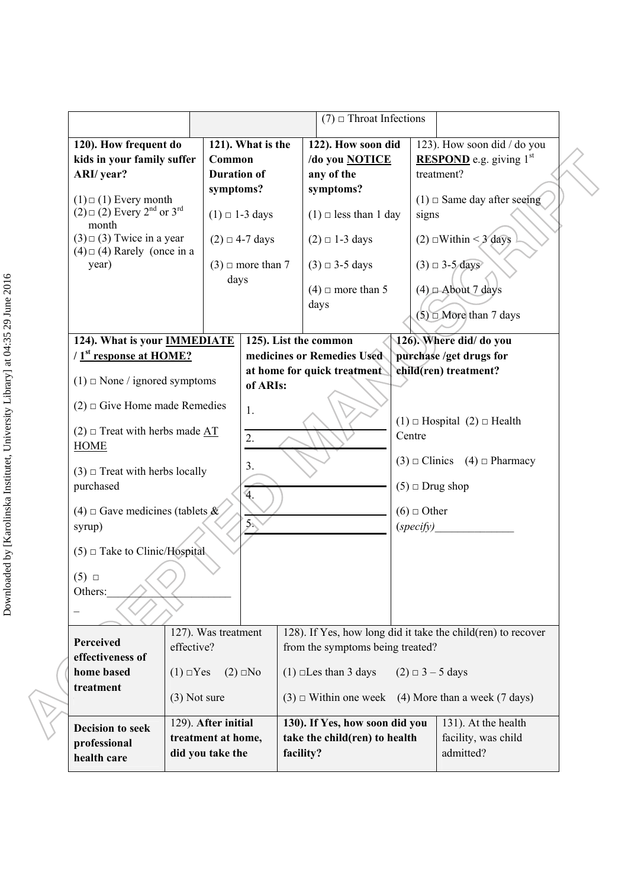|                                                                                                      |                                   |                          | $(7)$ $\Box$ Throat Infections   |                    |                                                              |
|------------------------------------------------------------------------------------------------------|-----------------------------------|--------------------------|----------------------------------|--------------------|--------------------------------------------------------------|
| 120). How frequent do                                                                                |                                   | 121). What is the        | 122). How soon did               |                    | 123). How soon did / do you                                  |
| kids in your family suffer                                                                           | Common                            |                          | /do you NOTICE                   |                    | <b>RESPOND</b> e.g. giving $1st$                             |
| ARI/ year?                                                                                           | <b>Duration of</b>                |                          | any of the                       |                    | treatment?                                                   |
|                                                                                                      | symptoms?                         |                          | symptoms?                        |                    |                                                              |
| $(1) \square (1)$ Every month<br>$(2) \square (2)$ Every 2 <sup>nd</sup> or 3 <sup>rd</sup><br>month |                                   | $(1) \square 1-3$ days   | $(1)$ $\Box$ less than 1 day     | signs              | $(1)$ $\Box$ Same day after seeing                           |
| $(3) \square (3)$ Twice in a year<br>$(4) \square (4)$ Rarely (once in a                             |                                   | $(2) \square 4$ -7 days  | $(2) \square 1-3$ days           |                    | $(2)$ $\Box$ Within < 3 days                                 |
| year)                                                                                                |                                   | $(3)$ $\Box$ more than 7 | $(3) \square 3$ -5 days          |                    | $(3) \square 3-5$ days                                       |
|                                                                                                      | days                              |                          | $(4)$ $\Box$ more than 5         |                    | $(4)$ $\Box$ About 7 days                                    |
|                                                                                                      |                                   |                          | days                             |                    |                                                              |
|                                                                                                      |                                   |                          |                                  |                    | $(5)$ $\Box$ More than 7 days                                |
| 124). What is your <b>IMMEDIATE</b>                                                                  |                                   |                          | 125). List the common            |                    | 126). Where did/ do you                                      |
| $/$ 1 <sup>st</sup> response at HOME?                                                                |                                   |                          | medicines or Remedies Used       |                    | purchase /get drugs for                                      |
|                                                                                                      |                                   |                          | at home for quick treatment      |                    | child(ren) treatment?                                        |
| $(1)$ $\Box$ None / ignored symptoms                                                                 |                                   | of ARIs:                 |                                  |                    |                                                              |
| $(2)$ $\Box$ Give Home made Remedies                                                                 |                                   | 1.                       |                                  |                    |                                                              |
| $(2)$ $\Box$ Treat with herbs made AT                                                                |                                   |                          |                                  |                    | $(1)$ $\Box$ Hospital $(2)$ $\Box$ Health                    |
| <b>HOME</b>                                                                                          |                                   | 2.                       |                                  | Centre             |                                                              |
|                                                                                                      |                                   | 3.                       |                                  |                    | $(3) \square$ Clinics $(4) \square$ Pharmacy                 |
| $(3)$ $\Box$ Treat with herbs locally                                                                |                                   |                          |                                  |                    |                                                              |
| purchased                                                                                            |                                   | $\mathbf{4}$ .           |                                  |                    | $(5)$ $\square$ Drug shop                                    |
| (4) $\Box$ Gave medicines (tablets &                                                                 |                                   |                          |                                  | $(6)$ $\Box$ Other |                                                              |
|                                                                                                      |                                   | $5\%$                    |                                  |                    |                                                              |
| syrup)                                                                                               |                                   |                          |                                  | (specify)          |                                                              |
| $(5)$ $\Box$ Take to Clinic/Hospital                                                                 |                                   |                          |                                  |                    |                                                              |
|                                                                                                      |                                   |                          |                                  |                    |                                                              |
| $(5)$ $\square$                                                                                      |                                   |                          |                                  |                    |                                                              |
| Others:                                                                                              |                                   |                          |                                  |                    |                                                              |
|                                                                                                      |                                   |                          |                                  |                    |                                                              |
|                                                                                                      | $\overline{127}$ ). Was treatment |                          |                                  |                    | 128). If Yes, how long did it take the child(ren) to recover |
| Perceived                                                                                            | effective?                        |                          | from the symptoms being treated? |                    |                                                              |
| effectiveness of                                                                                     |                                   |                          |                                  |                    |                                                              |
| home based                                                                                           | $(1) \square Yes$                 | $(2)$ $\Box$ No          | $(1)$ $\square$ Les than 3 days  |                    | $(2) \Box 3 - 5$ days                                        |
| treatment                                                                                            | $(3)$ Not sure                    |                          |                                  |                    | $(3)$ $\Box$ Within one week (4) More than a week (7 days)   |
|                                                                                                      |                                   |                          |                                  |                    |                                                              |
| <b>Decision to seek</b>                                                                              | 129). After initial               |                          | 130). If Yes, how soon did you   |                    | 131). At the health                                          |
| professional                                                                                         | treatment at home,                |                          | take the child(ren) to health    |                    | facility, was child                                          |
| health care                                                                                          | did you take the                  |                          | facility?                        |                    | admitted?                                                    |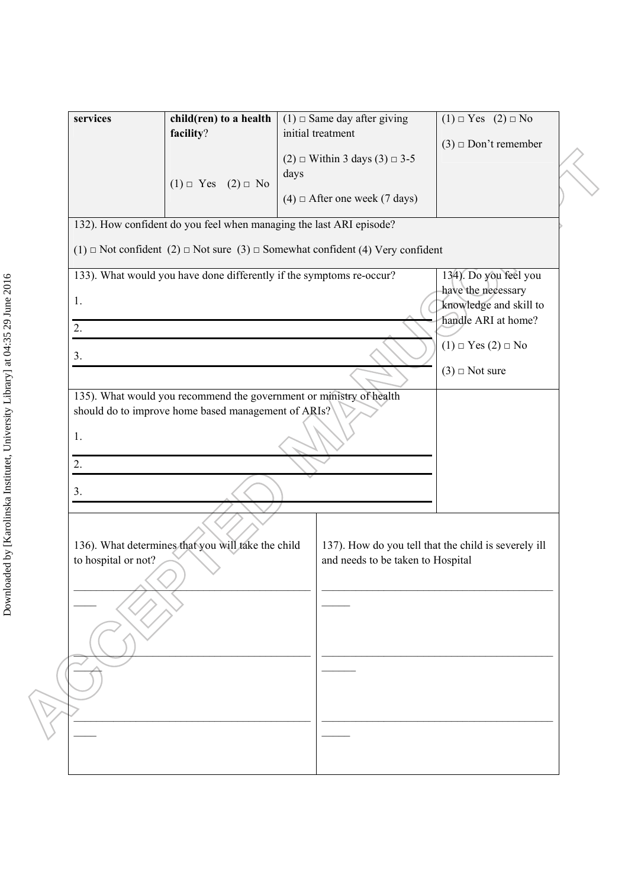| services            | child(ren) to a health<br>facility?                                                                   | $(1)$ $\Box$ Same day after giving<br>initial treatment<br>$(2)$ $\Box$ Within 3 days $(3)$ $\Box$ 3-5 | $(1) \square Y$ es $(2) \square No$<br>$(3) \square$ Don't remember                          |
|---------------------|-------------------------------------------------------------------------------------------------------|--------------------------------------------------------------------------------------------------------|----------------------------------------------------------------------------------------------|
|                     | $(1) \square$ Yes $(2) \square$ No                                                                    | days<br>$(4)$ $\Box$ After one week (7 days)                                                           |                                                                                              |
|                     | 132). How confident do you feel when managing the last ARI episode?                                   |                                                                                                        |                                                                                              |
|                     | $(1)$ $\Box$ Not confident $(2)$ $\Box$ Not sure $(3)$ $\Box$ Somewhat confident $(4)$ Very confident |                                                                                                        |                                                                                              |
| 1.                  | 133). What would you have done differently if the symptoms re-occur?                                  |                                                                                                        | 134). Do you feel you<br>have the necessary<br>knowledge and skill to<br>handle ARI at home? |
| 2.                  |                                                                                                       |                                                                                                        | $(1) \square Y$ es $(2) \square No$                                                          |
| 3.                  |                                                                                                       |                                                                                                        | $(3)$ $\Box$ Not sure                                                                        |
| 1.<br>2.<br>3.      | should do to improve home based management of ARIs?                                                   |                                                                                                        |                                                                                              |
| to hospital or not? | 136). What determines that you will take the child                                                    | and needs to be taken to Hospital                                                                      | 137). How do you tell that the child is severely ill                                         |
|                     |                                                                                                       |                                                                                                        |                                                                                              |